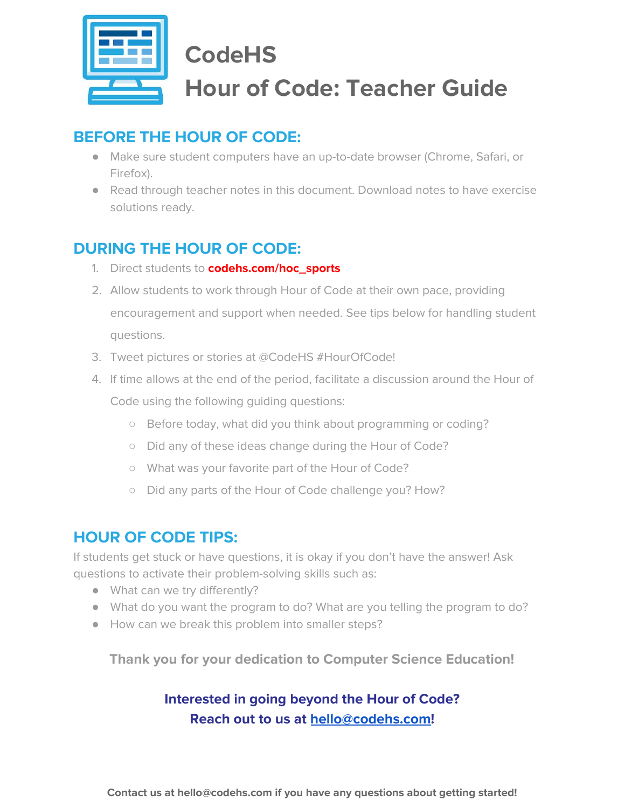

# **CodeHS Hour of Code: Teacher Guide**

## **BEFORE THE HOUR OF CODE:**

- Make sure student computers have an up-to-date browser (Chrome, Safari, or Firefox).
- Read through teacher notes in this document. Download notes to have exercise solutions ready.

## **DURING THE HOUR OF CODE:**

- 1. Direct students to **codehs.com/hoc\_sports**
- 2. Allow students to work through Hour of Code at their own pace, providing encouragement and support when needed. See tips below for handling student questions.
- 3. Tweet pictures or stories at @CodeHS #HourOfCode!
- 4. If time allows at the end of the period, facilitate a discussion around the Hour of Code using the following guiding questions:
	- Before today, what did you think about programming or coding?
	- Did any of these ideas change during the Hour of Code?
	- What was your favorite part of the Hour of Code?
	- Did any parts of the Hour of Code challenge you? How?

## **HOUR OF CODE TIPS:**

If students get stuck or have questions, it is okay if you don't have the answer! Ask questions to activate their problem-solving skills such as:

- What can we try differently?
- What do you want the program to do? What are you telling the program to do?
- How can we break this problem into smaller steps?

**Thank you for your dedication to Computer Science Education!**

### **Interested in going beyond the Hour of Code? Reach out to us at [hello@codehs.com](mailto:hello@codehs.com)!**